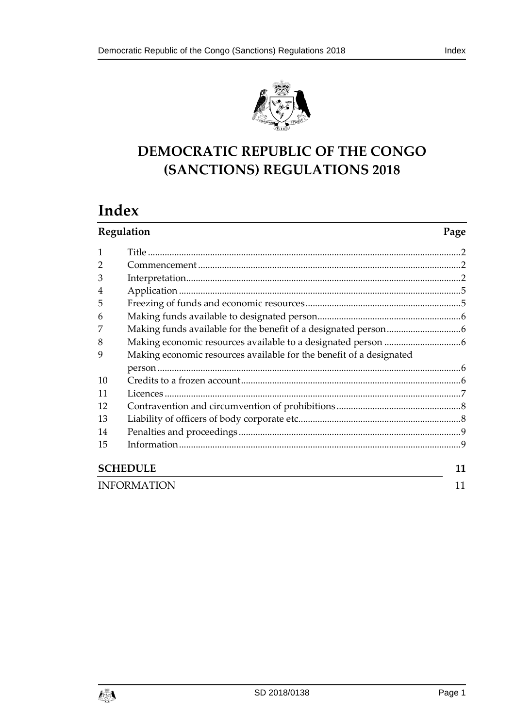



# **DEMOCRATIC REPUBLIC OF THE CONGO (SANCTIONS) REGULATIONS 2018**

# **Index**

| Regulation         |                                                                     | Page |
|--------------------|---------------------------------------------------------------------|------|
| 1                  |                                                                     |      |
| $\overline{2}$     |                                                                     |      |
| 3                  |                                                                     |      |
| $\overline{4}$     |                                                                     |      |
| 5                  |                                                                     |      |
| 6                  |                                                                     |      |
| 7                  |                                                                     |      |
| 8                  |                                                                     |      |
| 9                  | Making economic resources available for the benefit of a designated |      |
|                    |                                                                     |      |
| 10                 |                                                                     |      |
| 11                 |                                                                     |      |
| 12                 |                                                                     |      |
| 13                 |                                                                     |      |
| 14                 |                                                                     |      |
| 15                 |                                                                     |      |
| <b>SCHEDULE</b>    |                                                                     | 11   |
| <b>INFORMATION</b> |                                                                     | 11   |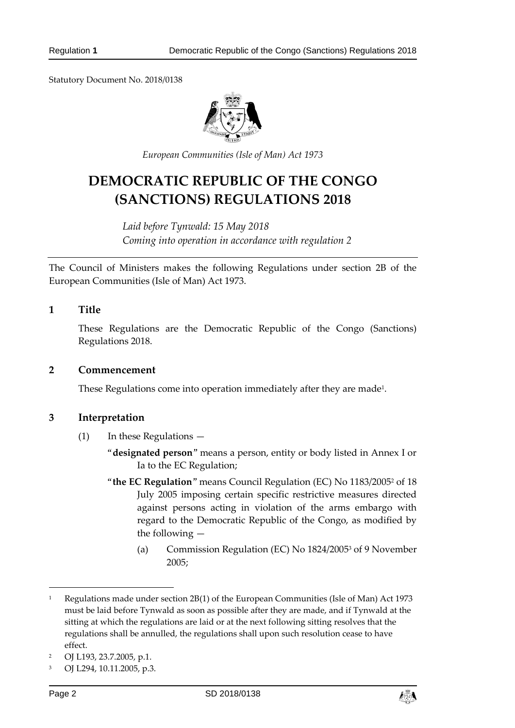Statutory Document No. 2018/0138



*European Communities (Isle of Man) Act 1973*

# **DEMOCRATIC REPUBLIC OF THE CONGO (SANCTIONS) REGULATIONS 2018**

*Laid before Tynwald: 15 May 2018 Coming into operation in accordance with regulation 2*

The Council of Ministers makes the following Regulations under section 2B of the European Communities (Isle of Man) Act 1973.

## <span id="page-1-0"></span>**1 Title**

These Regulations are the Democratic Republic of the Congo (Sanctions) Regulations 2018.

#### <span id="page-1-1"></span>**2 Commencement**

These Regulations come into operation immediately after they are made $^{\text{\tiny{1}}}$ .

#### <span id="page-1-2"></span>**3 Interpretation**

- (1) In these Regulations
	- "**designated person**" means a person, entity or body listed in Annex I or Ia to the EC Regulation;
	- "**the EC Regulation**" means Council Regulation (EC) No 1183/2005<sup>2</sup> of 18 July 2005 imposing certain specific restrictive measures directed against persons acting in violation of the arms embargo with regard to the Democratic Republic of the Congo, as modified by the following —
		- (a) Commission Regulation (EC) No 1824/2005<sup>3</sup> of 9 November 2005;

-



<sup>1</sup> Regulations made under section 2B(1) of the European Communities (Isle of Man) Act 1973 must be laid before Tynwald as soon as possible after they are made, and if Tynwald at the sitting at which the regulations are laid or at the next following sitting resolves that the regulations shall be annulled, the regulations shall upon such resolution cease to have effect.

<sup>2</sup> OJ L193, 23.7.2005, p.1.

<sup>3</sup> OJ L294, 10.11.2005, p.3.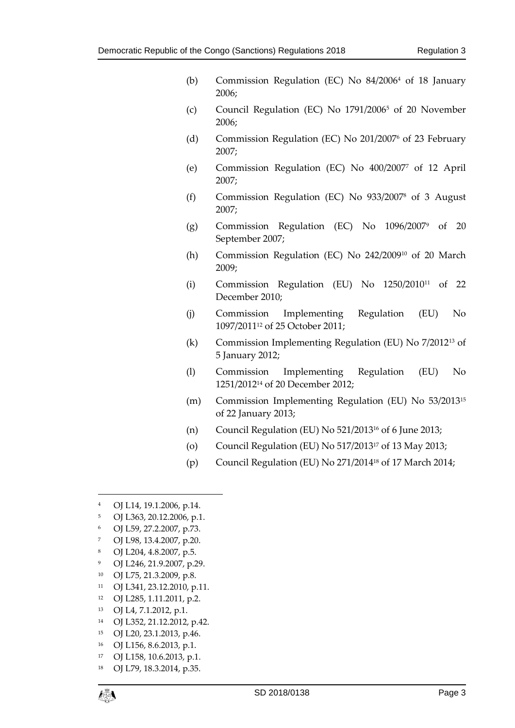- (b) Commission Regulation (EC) No 84/2006<sup>4</sup> of 18 January 2006;
- (c) Council Regulation (EC) No 1791/2006<sup>5</sup> of 20 November 2006;
- (d) Commission Regulation (EC) No 201/2007<sup>6</sup> of 23 February 2007;
- (e) Commission Regulation (EC) No 400/2007<sup>7</sup> of 12 April 2007;
- (f) Commission Regulation (EC) No 933/2007<sup>8</sup> of 3 August 2007;
- (g) Commission Regulation (EC) No 1096/2007<sup>9</sup> of 20 September 2007;
- (h) Commission Regulation (EC) No 242/2009<sup>10</sup> of 20 March 2009;
- (i) Commission Regulation (EU) No 1250/2010<sup>11</sup> of 22 December 2010;
- (j) Commission Implementing Regulation (EU) No 1097/2011<sup>12</sup> of 25 October 2011;
- (k) Commission Implementing Regulation (EU) No 7/2012<sup>13</sup> of 5 January 2012;
- (l) Commission Implementing Regulation (EU) No 1251/2012<sup>14</sup> of 20 December 2012;
- (m) Commission Implementing Regulation (EU) No 53/2013<sup>15</sup> of 22 January 2013;
- (n) Council Regulation (EU) No  $521/2013^{16}$  of 6 June 2013;
- (o) Council Regulation (EU) No 517/2013<sup>17</sup> of 13 May 2013;
- (p) Council Regulation (EU) No 271/2014<sup>18</sup> of 17 March 2014;
- <sup>4</sup> OJ L14, 19.1.2006, p.14.
- <sup>5</sup> OJ L363, 20.12.2006, p.1.
- <sup>6</sup> OJ L59, 27.2.2007, p.73.
- <sup>7</sup> OJ L98, 13.4.2007, p.20.
- <sup>8</sup> OJ L204, 4.8.2007, p.5.
- <sup>9</sup> OJ L246, 21.9.2007, p.29.
- <sup>10</sup> OJ L75, 21.3.2009, p.8.
- <sup>11</sup> OJ L341, 23.12.2010, p.11.
- <sup>12</sup> OJ L285, 1.11.2011, p.2.
- <sup>13</sup> OJ L4, 7.1.2012, p.1.
- <sup>14</sup> OJ L352, 21.12.2012, p.42.
- <sup>15</sup> OJ L20, 23.1.2013, p.46.
- <sup>16</sup> OJ L156, 8.6.2013, p.1.
- <sup>17</sup> OJ L158, 10.6.2013, p.1.
- <sup>18</sup> OJ L79, 18.3.2014, p.35.

1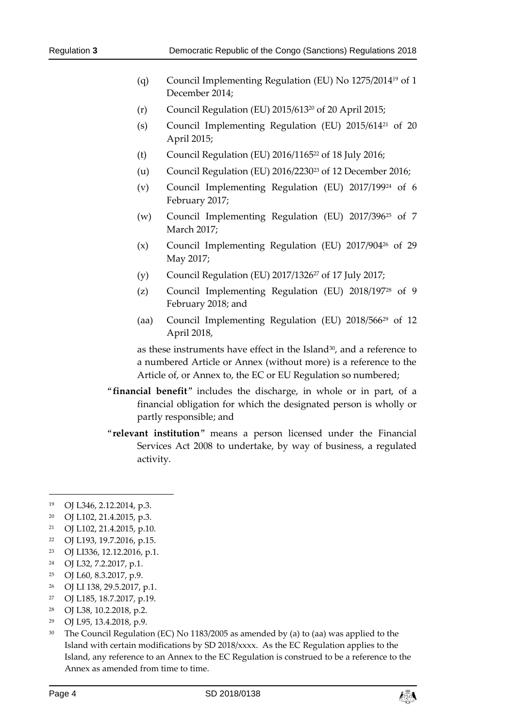- (q) Council Implementing Regulation (EU) No 1275/2014<sup>19</sup> of 1 December 2014;
- (r) Council Regulation (EU) 2015/613<sup>20</sup> of 20 April 2015;
- (s) Council Implementing Regulation (EU) 2015/614<sup>21</sup> of 20 April 2015;
- (t) Council Regulation (EU) 2016/1165<sup>22</sup> of 18 July 2016;
- (u) Council Regulation (EU) 2016/2230<sup>23</sup> of 12 December 2016;
- (v) Council Implementing Regulation (EU) 2017/199<sup>24</sup> of 6 February 2017;
- (w) Council Implementing Regulation (EU) 2017/396<sup>25</sup> of 7 March 2017;
- (x) Council Implementing Regulation (EU) 2017/904<sup>26</sup> of 29 May 2017;
- (y) Council Regulation (EU) 2017/1326<sup>27</sup> of 17 July 2017;
- (z) Council Implementing Regulation (EU) 2018/197<sup>28</sup> of 9 February 2018; and
- (aa) Council Implementing Regulation (EU) 2018/566<sup>29</sup> of 12 April 2018,

as these instruments have effect in the Island<sup>30</sup>, and a reference to a numbered Article or Annex (without more) is a reference to the Article of, or Annex to, the EC or EU Regulation so numbered;

- "**financial benefit**" includes the discharge, in whole or in part, of a financial obligation for which the designated person is wholly or partly responsible; and
- "**relevant institution**" means a person licensed under the Financial Services Act 2008 to undertake, by way of business, a regulated activity.

-

- <sup>20</sup> OJ L102, 21.4.2015, p.3.
- <sup>21</sup> OJ L102, 21.4.2015, p.10.
- <sup>22</sup> OJ L193, 19.7.2016, p.15.
- <sup>23</sup> OJ LI336, 12.12.2016, p.1.
- <sup>24</sup> OJ L32, 7.2.2017, p.1.
- <sup>25</sup> OJ L60, 8.3.2017, p.9.
- <sup>26</sup> OJ LI 138, 29.5.2017, p.1.
- <sup>27</sup> OJ L185, 18.7.2017, p.19.
- <sup>28</sup> OJ L38, 10.2.2018, p.2.
- <sup>29</sup> OJ L95, 13.4.2018, p.9.
- <sup>30</sup> The Council Regulation (EC) No 1183/2005 as amended by (a) to (aa) was applied to the Island with certain modifications by SD 2018/xxxx. As the EC Regulation applies to the Island, any reference to an Annex to the EC Regulation is construed to be a reference to the Annex as amended from time to time.



<sup>19</sup> OJ L346, 2.12.2014, p.3.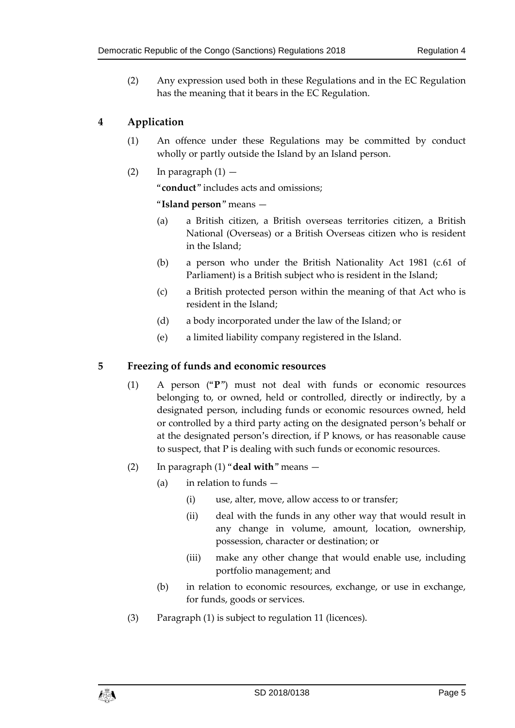(2) Any expression used both in these Regulations and in the EC Regulation has the meaning that it bears in the EC Regulation.

# <span id="page-4-0"></span>**4 Application**

- (1) An offence under these Regulations may be committed by conduct wholly or partly outside the Island by an Island person.
- (2) In paragraph  $(1)$  —

"**conduct**" includes acts and omissions;

"**Island person**" means —

- (a) a British citizen, a British overseas territories citizen, a British National (Overseas) or a British Overseas citizen who is resident in the Island;
- (b) a person who under the British Nationality Act 1981 (c.61 of Parliament) is a British subject who is resident in the Island;
- (c) a British protected person within the meaning of that Act who is resident in the Island;
- (d) a body incorporated under the law of the Island; or
- (e) a limited liability company registered in the Island.

## <span id="page-4-1"></span>**5 Freezing of funds and economic resources**

- (1) A person ("**P**") must not deal with funds or economic resources belonging to, or owned, held or controlled, directly or indirectly, by a designated person, including funds or economic resources owned, held or controlled by a third party acting on the designated person's behalf or at the designated person's direction, if P knows, or has reasonable cause to suspect, that P is dealing with such funds or economic resources.
- (2) In paragraph (1) "**deal with**" means
	- (a) in relation to funds  $-$ 
		- (i) use, alter, move, allow access to or transfer;
		- (ii) deal with the funds in any other way that would result in any change in volume, amount, location, ownership, possession, character or destination; or
		- (iii) make any other change that would enable use, including portfolio management; and
	- (b) in relation to economic resources, exchange, or use in exchange, for funds, goods or services.
- (3) Paragraph (1) is subject to regulation 11 (licences).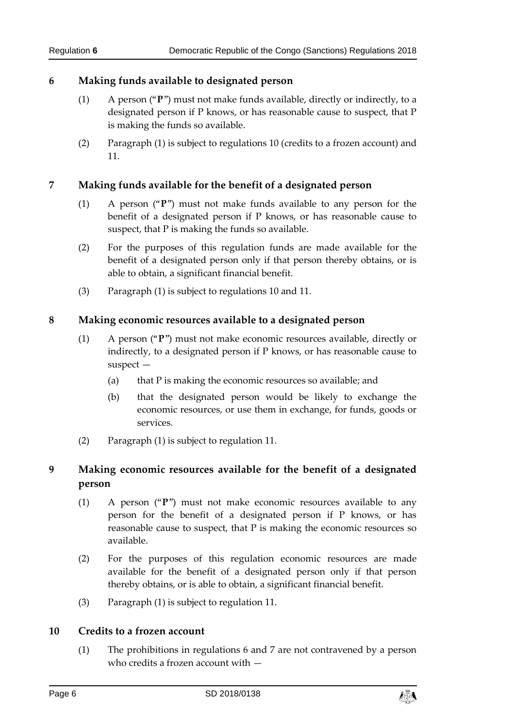## <span id="page-5-0"></span>**6 Making funds available to designated person**

- (1) A person ("**P**") must not make funds available, directly or indirectly, to a designated person if P knows, or has reasonable cause to suspect, that P is making the funds so available.
- (2) Paragraph (1) is subject to regulations 10 (credits to a frozen account) and 11.

## <span id="page-5-1"></span>**7 Making funds available for the benefit of a designated person**

- (1) A person ("**P**") must not make funds available to any person for the benefit of a designated person if P knows, or has reasonable cause to suspect, that P is making the funds so available.
- (2) For the purposes of this regulation funds are made available for the benefit of a designated person only if that person thereby obtains, or is able to obtain, a significant financial benefit.
- (3) Paragraph (1) is subject to regulations 10 and 11.

## <span id="page-5-2"></span>**8 Making economic resources available to a designated person**

- (1) A person ("**P**") must not make economic resources available, directly or indirectly, to a designated person if P knows, or has reasonable cause to suspect —
	- (a) that  $P$  is making the economic resources so available; and
	- (b) that the designated person would be likely to exchange the economic resources, or use them in exchange, for funds, goods or services.
- (2) Paragraph (1) is subject to regulation 11.

## <span id="page-5-3"></span>**9 Making economic resources available for the benefit of a designated person**

- (1) A person ("**P**") must not make economic resources available to any person for the benefit of a designated person if P knows, or has reasonable cause to suspect, that P is making the economic resources so available.
- (2) For the purposes of this regulation economic resources are made available for the benefit of a designated person only if that person thereby obtains, or is able to obtain, a significant financial benefit.
- (3) Paragraph (1) is subject to regulation 11.

## <span id="page-5-4"></span>**10 Credits to a frozen account**

(1) The prohibitions in regulations 6 and 7 are not contravened by a person who credits a frozen account with —

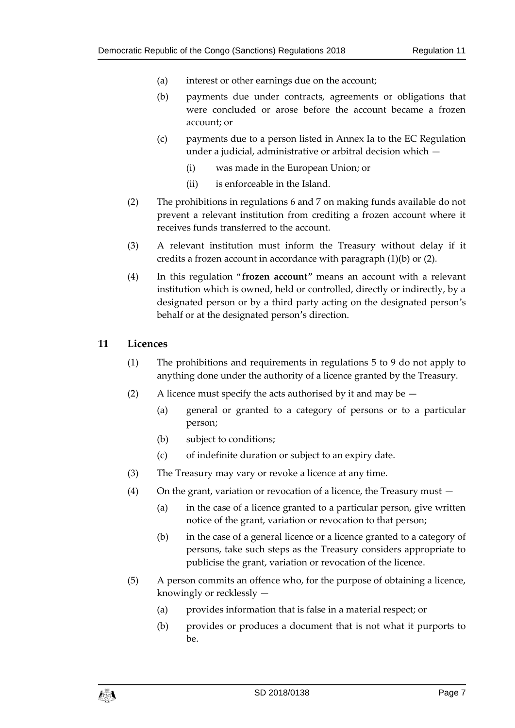- (a) interest or other earnings due on the account;
- (b) payments due under contracts, agreements or obligations that were concluded or arose before the account became a frozen account; or
- (c) payments due to a person listed in Annex Ia to the EC Regulation under a judicial, administrative or arbitral decision which —
	- (i) was made in the European Union; or
	- (ii) is enforceable in the Island.
- (2) The prohibitions in regulations 6 and 7 on making funds available do not prevent a relevant institution from crediting a frozen account where it receives funds transferred to the account.
- (3) A relevant institution must inform the Treasury without delay if it credits a frozen account in accordance with paragraph (1)(b) or (2).
- (4) In this regulation "**frozen account**" means an account with a relevant institution which is owned, held or controlled, directly or indirectly, by a designated person or by a third party acting on the designated person's behalf or at the designated person's direction.

#### <span id="page-6-0"></span>**11 Licences**

- (1) The prohibitions and requirements in regulations 5 to 9 do not apply to anything done under the authority of a licence granted by the Treasury.
- (2) A licence must specify the acts authorised by it and may be  $-$ 
	- (a) general or granted to a category of persons or to a particular person;
	- (b) subject to conditions;
	- (c) of indefinite duration or subject to an expiry date.
- (3) The Treasury may vary or revoke a licence at any time.
- (4) On the grant, variation or revocation of a licence, the Treasury must
	- (a) in the case of a licence granted to a particular person, give written notice of the grant, variation or revocation to that person;
	- (b) in the case of a general licence or a licence granted to a category of persons, take such steps as the Treasury considers appropriate to publicise the grant, variation or revocation of the licence.
- (5) A person commits an offence who, for the purpose of obtaining a licence, knowingly or recklessly —
	- (a) provides information that is false in a material respect; or
	- (b) provides or produces a document that is not what it purports to be.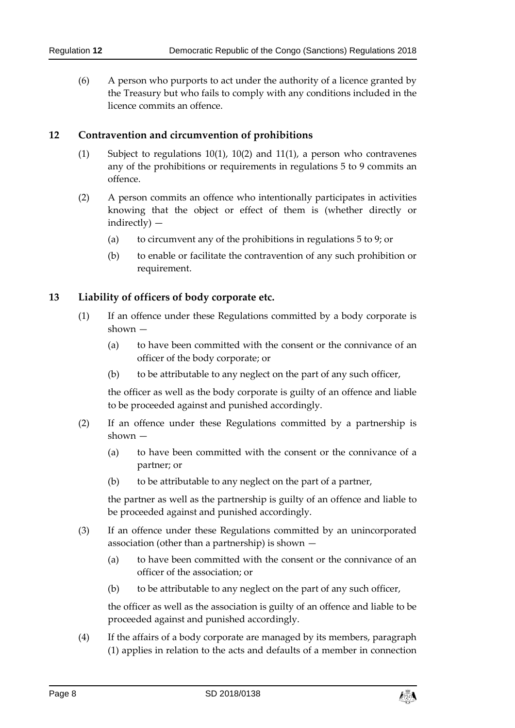(6) A person who purports to act under the authority of a licence granted by the Treasury but who fails to comply with any conditions included in the licence commits an offence.

## <span id="page-7-0"></span>**12 Contravention and circumvention of prohibitions**

- (1) Subject to regulations 10(1), 10(2) and 11(1), a person who contravenes any of the prohibitions or requirements in regulations 5 to 9 commits an offence.
- (2) A person commits an offence who intentionally participates in activities knowing that the object or effect of them is (whether directly or indirectly) —
	- (a) to circumvent any of the prohibitions in regulations 5 to 9; or
	- (b) to enable or facilitate the contravention of any such prohibition or requirement.

## <span id="page-7-1"></span>**13 Liability of officers of body corporate etc.**

- (1) If an offence under these Regulations committed by a body corporate is shown —
	- (a) to have been committed with the consent or the connivance of an officer of the body corporate; or
	- (b) to be attributable to any neglect on the part of any such officer,

the officer as well as the body corporate is guilty of an offence and liable to be proceeded against and punished accordingly.

- (2) If an offence under these Regulations committed by a partnership is shown —
	- (a) to have been committed with the consent or the connivance of a partner; or
	- (b) to be attributable to any neglect on the part of a partner,

the partner as well as the partnership is guilty of an offence and liable to be proceeded against and punished accordingly.

- (3) If an offence under these Regulations committed by an unincorporated association (other than a partnership) is shown —
	- (a) to have been committed with the consent or the connivance of an officer of the association; or
	- (b) to be attributable to any neglect on the part of any such officer,

the officer as well as the association is guilty of an offence and liable to be proceeded against and punished accordingly.

(4) If the affairs of a body corporate are managed by its members, paragraph (1) applies in relation to the acts and defaults of a member in connection

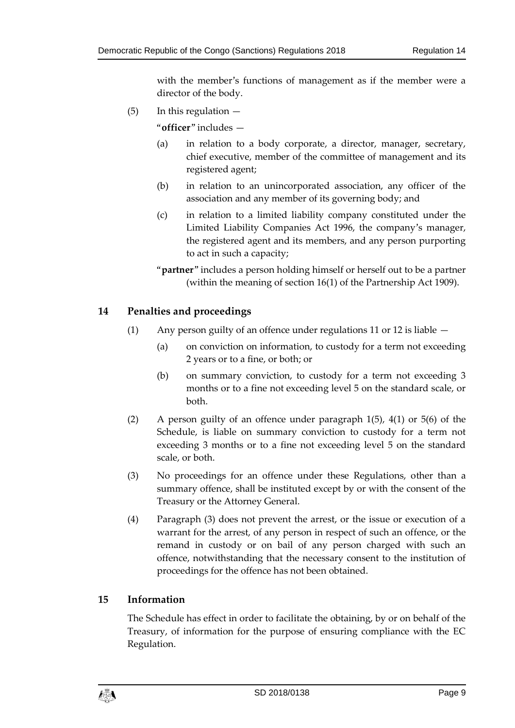with the member's functions of management as if the member were a director of the body.

 $(5)$  In this regulation  $-$ 

"**officer**" includes —

- (a) in relation to a body corporate, a director, manager, secretary, chief executive, member of the committee of management and its registered agent;
- (b) in relation to an unincorporated association, any officer of the association and any member of its governing body; and
- (c) in relation to a limited liability company constituted under the Limited Liability Companies Act 1996, the company's manager, the registered agent and its members, and any person purporting to act in such a capacity;
- "**partner**" includes a person holding himself or herself out to be a partner (within the meaning of section 16(1) of the Partnership Act 1909).

## <span id="page-8-0"></span>**14 Penalties and proceedings**

- (1) Any person guilty of an offence under regulations 11 or 12 is liable
	- (a) on conviction on information, to custody for a term not exceeding 2 years or to a fine, or both; or
		- (b) on summary conviction, to custody for a term not exceeding 3 months or to a fine not exceeding level 5 on the standard scale, or both.
- (2) A person guilty of an offence under paragraph 1(5), 4(1) or 5(6) of the Schedule, is liable on summary conviction to custody for a term not exceeding 3 months or to a fine not exceeding level 5 on the standard scale, or both.
- (3) No proceedings for an offence under these Regulations, other than a summary offence, shall be instituted except by or with the consent of the Treasury or the Attorney General.
- (4) Paragraph (3) does not prevent the arrest, or the issue or execution of a warrant for the arrest, of any person in respect of such an offence, or the remand in custody or on bail of any person charged with such an offence, notwithstanding that the necessary consent to the institution of proceedings for the offence has not been obtained.

#### <span id="page-8-1"></span>**15 Information**

The Schedule has effect in order to facilitate the obtaining, by or on behalf of the Treasury, of information for the purpose of ensuring compliance with the EC Regulation.

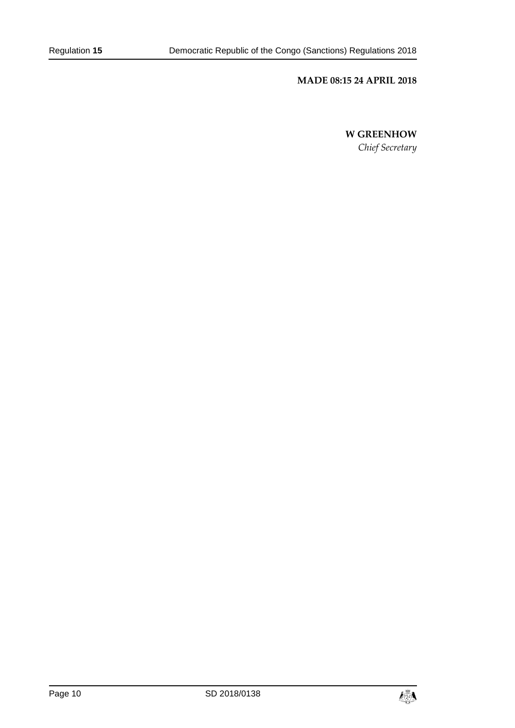#### **MADE 08:15 24 APRIL 2018**

**W GREENHOW**

*Chief Secretary*

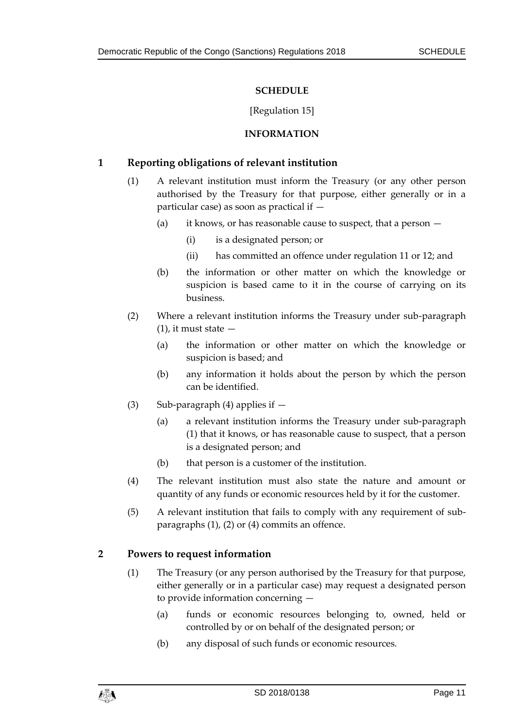## **SCHEDULE**

### [Regulation 15]

## **INFORMATION**

## <span id="page-10-1"></span><span id="page-10-0"></span>**1 Reporting obligations of relevant institution**

- (1) A relevant institution must inform the Treasury (or any other person authorised by the Treasury for that purpose, either generally or in a particular case) as soon as practical if —
	- (a) it knows, or has reasonable cause to suspect, that a person  $-$ 
		- (i) is a designated person; or
		- (ii) has committed an offence under regulation 11 or 12; and
	- (b) the information or other matter on which the knowledge or suspicion is based came to it in the course of carrying on its business.
- (2) Where a relevant institution informs the Treasury under sub-paragraph  $(1)$ , it must state  $-$ 
	- (a) the information or other matter on which the knowledge or suspicion is based; and
	- (b) any information it holds about the person by which the person can be identified.
- (3) Sub-paragraph (4) applies if  $-$ 
	- (a) a relevant institution informs the Treasury under sub-paragraph (1) that it knows, or has reasonable cause to suspect, that a person is a designated person; and
	- (b) that person is a customer of the institution.
- (4) The relevant institution must also state the nature and amount or quantity of any funds or economic resources held by it for the customer.
- (5) A relevant institution that fails to comply with any requirement of subparagraphs (1), (2) or (4) commits an offence.

## **2 Powers to request information**

- (1) The Treasury (or any person authorised by the Treasury for that purpose, either generally or in a particular case) may request a designated person to provide information concerning —
	- (a) funds or economic resources belonging to, owned, held or controlled by or on behalf of the designated person; or
	- (b) any disposal of such funds or economic resources.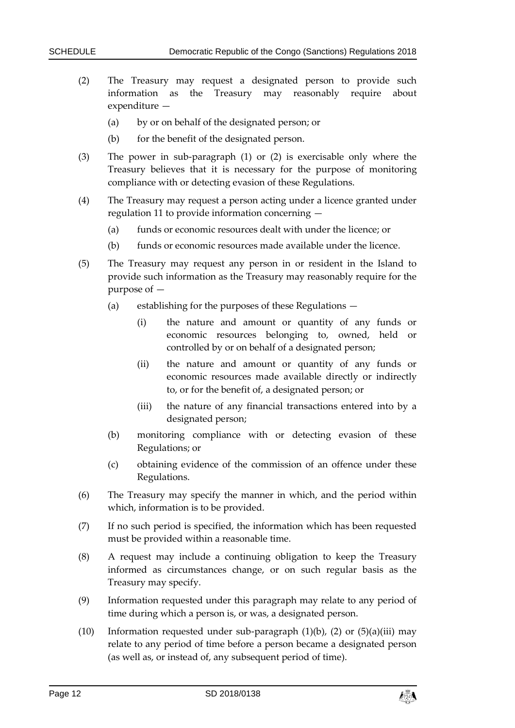- (2) The Treasury may request a designated person to provide such information as the Treasury may reasonably require about expenditure —
	- (a) by or on behalf of the designated person; or
	- (b) for the benefit of the designated person.
- (3) The power in sub-paragraph (1) or (2) is exercisable only where the Treasury believes that it is necessary for the purpose of monitoring compliance with or detecting evasion of these Regulations.
- (4) The Treasury may request a person acting under a licence granted under regulation 11 to provide information concerning —
	- (a) funds or economic resources dealt with under the licence; or
	- (b) funds or economic resources made available under the licence.
- (5) The Treasury may request any person in or resident in the Island to provide such information as the Treasury may reasonably require for the purpose of —
	- (a) establishing for the purposes of these Regulations
		- (i) the nature and amount or quantity of any funds or economic resources belonging to, owned, held or controlled by or on behalf of a designated person;
		- (ii) the nature and amount or quantity of any funds or economic resources made available directly or indirectly to, or for the benefit of, a designated person; or
		- (iii) the nature of any financial transactions entered into by a designated person;
	- (b) monitoring compliance with or detecting evasion of these Regulations; or
	- (c) obtaining evidence of the commission of an offence under these Regulations.
- (6) The Treasury may specify the manner in which, and the period within which, information is to be provided.
- (7) If no such period is specified, the information which has been requested must be provided within a reasonable time.
- (8) A request may include a continuing obligation to keep the Treasury informed as circumstances change, or on such regular basis as the Treasury may specify.
- (9) Information requested under this paragraph may relate to any period of time during which a person is, or was, a designated person.
- (10) Information requested under sub-paragraph  $(1)(b)$ ,  $(2)$  or  $(5)(a)(iii)$  may relate to any period of time before a person became a designated person (as well as, or instead of, any subsequent period of time).

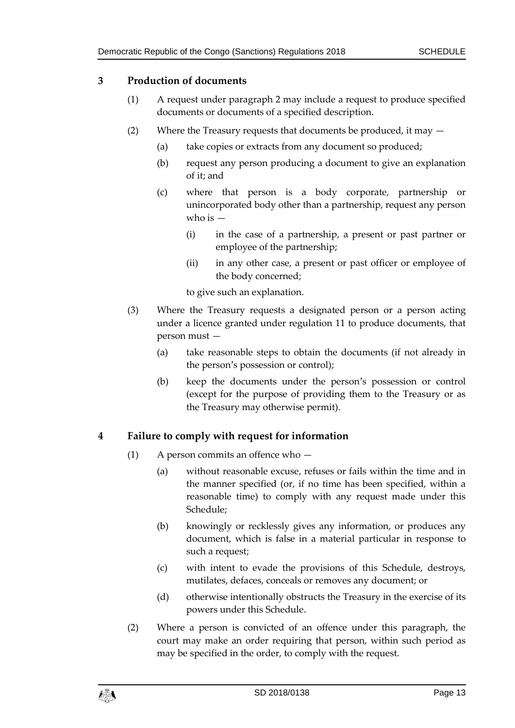## **3 Production of documents**

- (1) A request under paragraph 2 may include a request to produce specified documents or documents of a specified description.
- (2) Where the Treasury requests that documents be produced, it may
	- (a) take copies or extracts from any document so produced;
	- (b) request any person producing a document to give an explanation of it; and
	- (c) where that person is a body corporate, partnership or unincorporated body other than a partnership, request any person who is  $-$ 
		- (i) in the case of a partnership, a present or past partner or employee of the partnership;
		- (ii) in any other case, a present or past officer or employee of the body concerned;

to give such an explanation.

- (3) Where the Treasury requests a designated person or a person acting under a licence granted under regulation 11 to produce documents, that person must —
	- (a) take reasonable steps to obtain the documents (if not already in the person's possession or control);
	- (b) keep the documents under the person's possession or control (except for the purpose of providing them to the Treasury or as the Treasury may otherwise permit).

## **4 Failure to comply with request for information**

- (1) A person commits an offence who
	- (a) without reasonable excuse, refuses or fails within the time and in the manner specified (or, if no time has been specified, within a reasonable time) to comply with any request made under this Schedule;
	- (b) knowingly or recklessly gives any information, or produces any document, which is false in a material particular in response to such a request;
	- (c) with intent to evade the provisions of this Schedule, destroys, mutilates, defaces, conceals or removes any document; or
	- (d) otherwise intentionally obstructs the Treasury in the exercise of its powers under this Schedule.
- (2) Where a person is convicted of an offence under this paragraph, the court may make an order requiring that person, within such period as may be specified in the order, to comply with the request.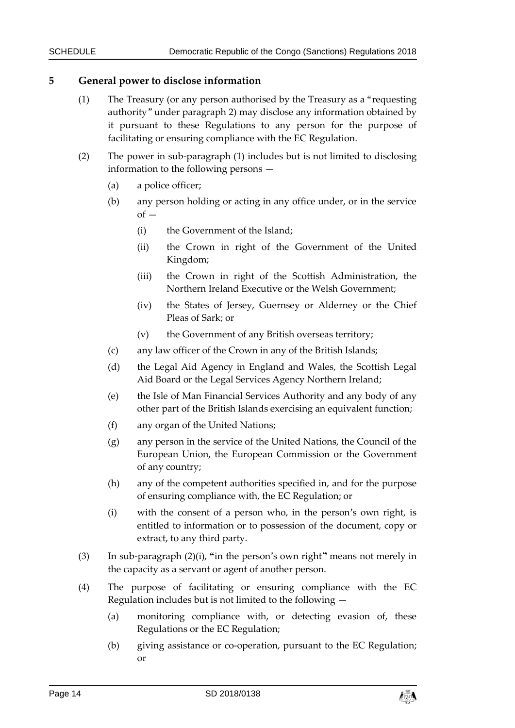### **5 General power to disclose information**

- (1) The Treasury (or any person authorised by the Treasury as a "requesting authority" under paragraph 2) may disclose any information obtained by it pursuant to these Regulations to any person for the purpose of facilitating or ensuring compliance with the EC Regulation.
- (2) The power in sub-paragraph (1) includes but is not limited to disclosing information to the following persons —
	- (a) a police officer;
	- (b) any person holding or acting in any office under, or in the service  $of -$ 
		- (i) the Government of the Island;
		- (ii) the Crown in right of the Government of the United Kingdom;
		- (iii) the Crown in right of the Scottish Administration, the Northern Ireland Executive or the Welsh Government;
		- (iv) the States of Jersey, Guernsey or Alderney or the Chief Pleas of Sark; or
		- (v) the Government of any British overseas territory;
	- (c) any law officer of the Crown in any of the British Islands;
	- (d) the Legal Aid Agency in England and Wales, the Scottish Legal Aid Board or the Legal Services Agency Northern Ireland;
	- (e) the Isle of Man Financial Services Authority and any body of any other part of the British Islands exercising an equivalent function;
	- (f) any organ of the United Nations;
	- (g) any person in the service of the United Nations, the Council of the European Union, the European Commission or the Government of any country;
	- (h) any of the competent authorities specified in, and for the purpose of ensuring compliance with, the EC Regulation; or
	- (i) with the consent of a person who, in the person's own right, is entitled to information or to possession of the document, copy or extract, to any third party.
- (3) In sub-paragraph (2)(i), **"**in the person's own right**"** means not merely in the capacity as a servant or agent of another person.
- (4) The purpose of facilitating or ensuring compliance with the EC Regulation includes but is not limited to the following —
	- (a) monitoring compliance with, or detecting evasion of, these Regulations or the EC Regulation;
	- (b) giving assistance or co-operation, pursuant to the EC Regulation; or

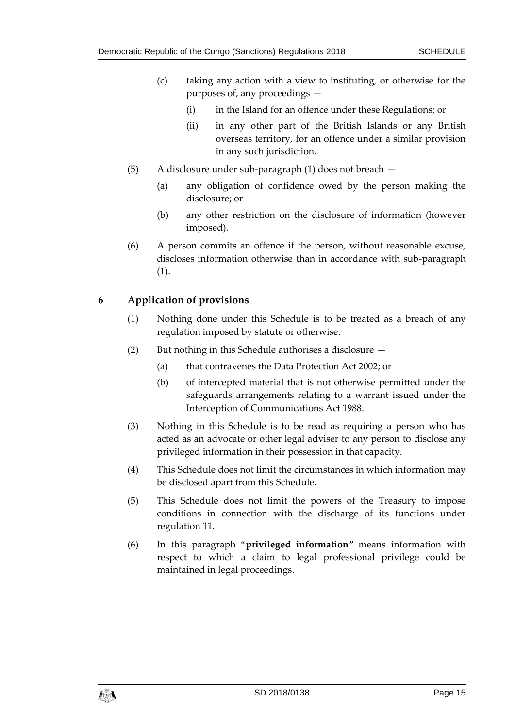- (c) taking any action with a view to instituting, or otherwise for the purposes of, any proceedings —
	- (i) in the Island for an offence under these Regulations; or
	- (ii) in any other part of the British Islands or any British overseas territory, for an offence under a similar provision in any such jurisdiction.
- (5) A disclosure under sub-paragraph (1) does not breach
	- (a) any obligation of confidence owed by the person making the disclosure; or
	- (b) any other restriction on the disclosure of information (however imposed).
- (6) A person commits an offence if the person, without reasonable excuse, discloses information otherwise than in accordance with sub-paragraph (1).

## **6 Application of provisions**

- (1) Nothing done under this Schedule is to be treated as a breach of any regulation imposed by statute or otherwise.
- (2) But nothing in this Schedule authorises a disclosure
	- (a) that contravenes the Data Protection Act 2002; or
	- (b) of intercepted material that is not otherwise permitted under the safeguards arrangements relating to a warrant issued under the Interception of Communications Act 1988.
- (3) Nothing in this Schedule is to be read as requiring a person who has acted as an advocate or other legal adviser to any person to disclose any privileged information in their possession in that capacity.
- (4) This Schedule does not limit the circumstances in which information may be disclosed apart from this Schedule.
- (5) This Schedule does not limit the powers of the Treasury to impose conditions in connection with the discharge of its functions under regulation 11.
- (6) In this paragraph "**privileged information**" means information with respect to which a claim to legal professional privilege could be maintained in legal proceedings.